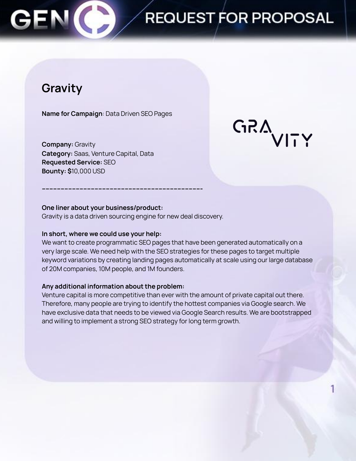### C **REQUEST FOR PROPOSAL**

## **Gravity**

**Name for Campaign**: Data Driven SEO Pages

**Company:** Gravity **Category:** Saas, Venture Capital, Data **Requested Service:** SEO **Bounty: \$**10,000 USD

**GRAVITY** 

#### **One liner about your business/product:**

Gravity is a data driven sourcing engine for new deal discovery.

**------------------------------------------------------------------------------------**

#### **In short, where we could use your help:**

We want to create programmatic SEO pages that have been generated automatically on a very large scale. We need help with the SEO strategies for these pages to target multiple keyword variations by creating landing pages automatically at scale using our large database of 20M companies, 10M people, and 1M founders.

#### **Any additional information about the problem:**

Venture capital is more competitive than ever with the amount of private capital out there. Therefore, many people are trying to identify the hottest companies via Google search. We have exclusive data that needs to be viewed via Google Search results. We are bootstrapped and willing to implement a strong SEO strategy for long term growth.